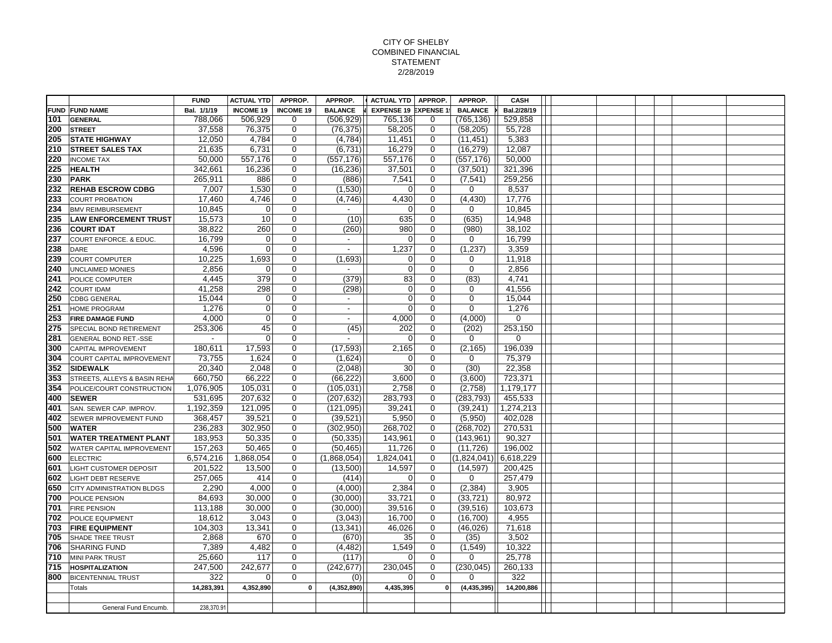## CITY OF SHELBY COMBINED FINANCIAL STATEMENT 2/28/2019

|     |                                  | <b>FUND</b> | <b>ACTUAL YTD</b> | APPROP.          | APPROP.                  | ACTUAL YTD   APPROP.         |             | APPROP.        | CASH        |  |  |  |  |
|-----|----------------------------------|-------------|-------------------|------------------|--------------------------|------------------------------|-------------|----------------|-------------|--|--|--|--|
|     | <b>FUND FUND NAME</b>            | Bal. 1/1/19 | <b>INCOME 19</b>  | <b>INCOME 19</b> | <b>BALANCE</b>           | <b>EXPENSE 19 EXPENSE 19</b> |             | <b>BALANCE</b> | Bal.2/28/19 |  |  |  |  |
| 101 | <b>GENERAL</b>                   | 788,066     | 506,929           | 0                | (506, 929)               | 765,136                      | 0           | (765,136)      | 529,858     |  |  |  |  |
| 200 | <b>STREET</b>                    | 37,558      | 76,375            | 0                | (76, 375)                | 58,205                       | $\mathbf 0$ | (58, 205)      | 55,728      |  |  |  |  |
| 205 | <b>STATE HIGHWAY</b>             | 12,050      | 4,784             | $\mathbf 0$      | (4,784)                  | 11,451                       | $\mathbf 0$ | (11, 451)      | 5,383       |  |  |  |  |
| 210 | <b>STREET SALES TAX</b>          | 21.635      | 6,731             | $\mathbf 0$      | (6,731)                  | 16,279                       | $\mathbf 0$ | (16, 279)      | 12,087      |  |  |  |  |
| 220 | <b>INCOME TAX</b>                | 50,000      | 557,176           | $\mathbf 0$      | (557, 176)               | 557,176                      | $\mathbf 0$ | (557, 176)     | 50,000      |  |  |  |  |
| 225 | <b>HEALTH</b>                    | 342,661     | 16,236            | 0                | (16, 236)                | 37,501                       | $\mathbf 0$ | (37, 501)      | 321,396     |  |  |  |  |
| 230 | <b>PARK</b>                      | 265,911     | 886               | 0                | (886)                    | 7,541                        | $\mathbf 0$ | (7, 541)       | 259,256     |  |  |  |  |
| 232 | <b>REHAB ESCROW CDBG</b>         | 7,007       | 1.530             | $\mathbf 0$      | (1,530)                  | $\overline{0}$               | $\mathbf 0$ | 0              | 8,537       |  |  |  |  |
| 233 | <b>COURT PROBATION</b>           | 17,460      | 4,746             | $\mathbf 0$      | (4,746)                  | 4,430                        | 0           | (4, 430)       | 17,776      |  |  |  |  |
| 234 | <b>BMV REIMBURSEMENT</b>         | 10,845      | $\mathbf 0$       | $\mathbf 0$      | $\sim$                   | $\overline{0}$               | $\mathbf 0$ | 0              | 10,845      |  |  |  |  |
| 235 | <b>LAW ENFORCEMENT TRUST</b>     | 15,573      | 10                | $\Omega$         | (10)                     | 635                          | $\Omega$    | (635)          | 14,948      |  |  |  |  |
| 236 | <b>COURT IDAT</b>                | 38,822      | 260               | 0                | (260)                    | 980                          | $\mathbf 0$ | (980)          | 38,102      |  |  |  |  |
| 237 | COURT ENFORCE. & EDUC.           | 16,799      | $\mathbf 0$       | $\mathbf 0$      | $\sim$                   | $\overline{0}$               | $\mathbf 0$ | 0              | 16,799      |  |  |  |  |
| 238 | DARE                             | 4,596       | $\Omega$          | $\mathbf 0$      | $\overline{\phantom{a}}$ | 1,237                        | $\mathbf 0$ | (1, 237)       | 3,359       |  |  |  |  |
| 239 | <b>COURT COMPUTER</b>            | 10,225      | 1,693             | 0                | (1,693)                  | $\overline{0}$               | $\mathbf 0$ | $\mathbf 0$    | 11,918      |  |  |  |  |
| 240 | <b>UNCLAIMED MONIES</b>          | 2,856       | 0                 | 0                | $\sim$                   | 0                            | $\mathbf 0$ | 0              | 2,856       |  |  |  |  |
| 241 | <b>POLICE COMPUTER</b>           | 4,445       | 379               | $\mathbf 0$      | (379)                    | 83                           | $\mathbf 0$ | (83)           | 4,741       |  |  |  |  |
| 242 | <b>COURT IDAM</b>                | 41,258      | 298               | $\mathbf 0$      | (298)                    | $\overline{0}$               | $\mathbf 0$ | 0              | 41,556      |  |  |  |  |
| 250 | <b>CDBG GENERAL</b>              | 15,044      | $\mathbf 0$       | $\mathbf 0$      | $\overline{\phantom{a}}$ | $\overline{0}$               | $\mathbf 0$ | $\mathbf 0$    | 15,044      |  |  |  |  |
| 251 | <b>HOME PROGRAM</b>              | 1.276       | $\mathbf 0$       | $\Omega$         | $\sim$                   | $\overline{0}$               | $\Omega$    | $\mathbf 0$    | 1.276       |  |  |  |  |
| 253 | <b>FIRE DAMAGE FUND</b>          | 4,000       | $\mathbf 0$       | $\mathbf 0$      | $\sim$                   | 4,000                        | $\mathbf 0$ | (4,000)        | 0           |  |  |  |  |
| 275 | <b>SPECIAL BOND RETIREMENT</b>   | 253,306     | 45                | 0                | (45)                     | 202                          | $\mathbf 0$ | (202)          | 253,150     |  |  |  |  |
| 281 | <b>GENERAL BOND RET.-SSE</b>     | $\sim$      | $\Omega$          | $\mathbf 0$      | $\sim$                   | 0                            | $\mathbf 0$ | $\mathbf 0$    | $\Omega$    |  |  |  |  |
| 300 | CAPITAL IMPROVEMENT              | 180,611     | 17,593            | $\mathbf 0$      | (17, 593)                | 2,165                        | $\mathbf 0$ | (2, 165)       | 196,039     |  |  |  |  |
| 304 | COURT CAPITAL IMPROVEMENT        | 73,755      | 1,624             | 0                | (1,624)                  | $\overline{0}$               | $\Omega$    | 0              | 75,379      |  |  |  |  |
| 352 | <b>SIDEWALK</b>                  | 20.340      | 2,048             | $\mathbf 0$      | (2,048)                  | 30                           | $\mathbf 0$ | (30)           | 22,358      |  |  |  |  |
| 353 | STREETS, ALLEYS & BASIN REHA     | 660,750     | 66,222            | $\mathbf 0$      | (66, 222)                | 3,600                        | $\mathbf 0$ | (3,600)        | 723,371     |  |  |  |  |
| 354 | POLICE/COURT CONSTRUCTION        | 1,076,905   | 105,031           | 0                | (105, 031)               | 2,758                        | $\mathbf 0$ | (2,758)        | 1,179,177   |  |  |  |  |
| 400 | <b>SEWER</b>                     | 531,695     | 207,632           | $\mathbf 0$      | (207, 632)               | 283,793                      | $\mathbf 0$ | (283, 793)     | 455,533     |  |  |  |  |
| 401 | SAN. SEWER CAP. IMPROV.          | 1,192,359   | 121,095           | 0                | (121, 095)               | 39,241                       | $\mathbf 0$ | (39, 241)      | 1,274,213   |  |  |  |  |
| 402 | <b>SEWER IMPROVEMENT FUND</b>    | 368,457     | 39,521            | 0                | (39,521)                 | 5,950                        | 0           | (5,950)        | 402,028     |  |  |  |  |
| 500 | <b>WATER</b>                     | 236,283     | 302,950           | $\Omega$         | (302, 950)               | 268,702                      | $\mathbf 0$ | (268, 702)     | 270,531     |  |  |  |  |
| 501 | <b>WATER TREATMENT PLANT</b>     | 183,953     | 50,335            | $\mathbf 0$      | (50, 335)                | 143,961                      | $\mathbf 0$ | (143, 961)     | 90,327      |  |  |  |  |
| 502 | <b>WATER CAPITAL IMPROVEMENT</b> | 157,263     | 50,465            | 0                | (50, 465)                | 11,726                       | $\mathbf 0$ | (11, 726)      | 196,002     |  |  |  |  |
| 600 | <b>ELECTRIC</b>                  | 6,574,216   | 1,868,054         | $\Omega$         | (1,868,054)              | 1,824,041                    | $\mathbf 0$ | (1,824,041)    | 6,618,229   |  |  |  |  |
| 601 | LIGHT CUSTOMER DEPOSIT           | 201,522     | 13,500            | 0                | (13,500)                 | 14,597                       | $\mathbf 0$ | (14, 597)      | 200,425     |  |  |  |  |
| 602 | <b>LIGHT DEBT RESERVE</b>        | 257,065     | 414               | 0                | (414)                    | $\overline{0}$               | $\mathbf 0$ | 0              | 257,479     |  |  |  |  |
| 650 | <b>CITY ADMINISTRATION BLDGS</b> | 2,290       | 4,000             | 0                | (4,000)                  | 2,384                        | $\mathbf 0$ | (2, 384)       | 3,905       |  |  |  |  |
| 700 | POLICE PENSION                   | 84,693      | 30,000            | $\mathbf 0$      | (30,000)                 | 33,721                       | $\mathbf 0$ | (33, 721)      | 80,972      |  |  |  |  |
| 701 | <b>FIRE PENSION</b>              | 113,188     | 30,000            | 0                | (30,000)                 | 39,516                       | $\mathbf 0$ | (39, 516)      | 103,673     |  |  |  |  |
| 702 | <b>POLICE EQUIPMENT</b>          | 18.612      | 3,043             | $\Omega$         | (3,043)                  | 16,700                       | $\Omega$    | (16,700)       | 4,955       |  |  |  |  |
| 703 | <b>FIRE EQUIPMENT</b>            | 104,303     | 13,341            | 0                | (13, 341)                | 46,026                       | $\mathbf 0$ | (46, 026)      | 71,618      |  |  |  |  |
| 705 | <b>SHADE TREE TRUST</b>          | 2,868       | 670               | $\mathbf 0$      | (670)                    | 35                           | $\mathbf 0$ | (35)           | 3,502       |  |  |  |  |
| 706 | <b>SHARING FUND</b>              | 7,389       | 4,482             | $\mathbf 0$      | (4, 482)                 | 1,549                        | $\mathbf 0$ | (1, 549)       | 10,322      |  |  |  |  |
| 710 | <b>MINI PARK TRUST</b>           | 25,660      | 117               | $\mathbf 0$      | (117)                    | $\overline{0}$               | $\mathbf 0$ | $\mathbf 0$    | 25,778      |  |  |  |  |
| 715 | <b>HOSPITALIZATION</b>           | 247,500     | 242,677           | 0                | (242, 677)               | 230,045                      | $\mathbf 0$ | (230, 045)     | 260,133     |  |  |  |  |
| 800 | <b>BICENTENNIAL TRUST</b>        | 322         | 0                 | $\Omega$         | (0)                      | $\overline{0}$               | $\Omega$    | 0              | 322         |  |  |  |  |
|     | Totals                           | 14,283,391  | 4,352,890         | $\mathbf 0$      | (4,352,890)              | 4,435,395                    | 0           | (4, 435, 395)  | 14,200,886  |  |  |  |  |
|     |                                  |             |                   |                  |                          |                              |             |                |             |  |  |  |  |
|     | General Fund Encumb.             | 238,370.91  |                   |                  |                          |                              |             |                |             |  |  |  |  |
|     |                                  |             |                   |                  |                          |                              |             |                |             |  |  |  |  |